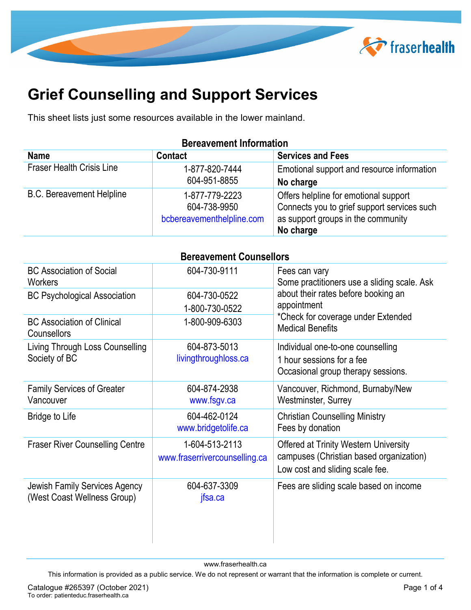

## **Grief Counselling and Support Services**

This sheet lists just some resources available in the lower mainland.

## **Bereavement Information**

| <b>Name</b>                      | <b>Contact</b>                                              | <b>Services and Fees</b>                                                                                                   |
|----------------------------------|-------------------------------------------------------------|----------------------------------------------------------------------------------------------------------------------------|
| <b>Fraser Health Crisis Line</b> | 1-877-820-7444                                              | Emotional support and resource information                                                                                 |
|                                  | 604-951-8855                                                | No charge                                                                                                                  |
| <b>B.C. Bereavement Helpline</b> | 1-877-779-2223<br>604-738-9950<br>bcbereavementhelpline.com | Offers helpline for emotional support<br>Connects you to grief support services such<br>as support groups in the community |
|                                  |                                                             | No charge                                                                                                                  |

| <b>Bereavement Counsellors</b> |  |
|--------------------------------|--|

| <b>BC Association of Social</b><br><b>Workers</b>                   | 604-730-9111                                    | Fees can vary<br>Some practitioners use a sliding scale. Ask                                                               |
|---------------------------------------------------------------------|-------------------------------------------------|----------------------------------------------------------------------------------------------------------------------------|
| <b>BC Psychological Association</b>                                 | 604-730-0522<br>1-800-730-0522                  | about their rates before booking an<br>appointment                                                                         |
| <b>BC Association of Clinical</b><br>Counsellors                    | 1-800-909-6303                                  | *Check for coverage under Extended<br><b>Medical Benefits</b>                                                              |
| Living Through Loss Counselling<br>Society of BC                    | 604-873-5013<br>livingthroughloss.ca            | Individual one-to-one counselling<br>1 hour sessions for a fee<br>Occasional group therapy sessions.                       |
| <b>Family Services of Greater</b><br>Vancouver                      | 604-874-2938<br>www.fsgv.ca                     | Vancouver, Richmond, Burnaby/New<br><b>Westminster, Surrey</b>                                                             |
| <b>Bridge to Life</b>                                               | 604-462-0124<br>www.bridgetolife.ca             | <b>Christian Counselling Ministry</b><br>Fees by donation                                                                  |
| <b>Fraser River Counselling Centre</b>                              | 1-604-513-2113<br>www.fraserrivercounselling.ca | <b>Offered at Trinity Western University</b><br>campuses (Christian based organization)<br>Low cost and sliding scale fee. |
| <b>Jewish Family Services Agency</b><br>(West Coast Wellness Group) | 604-637-3309<br>jfsa.ca                         | Fees are sliding scale based on income                                                                                     |

www.fraserhealth.ca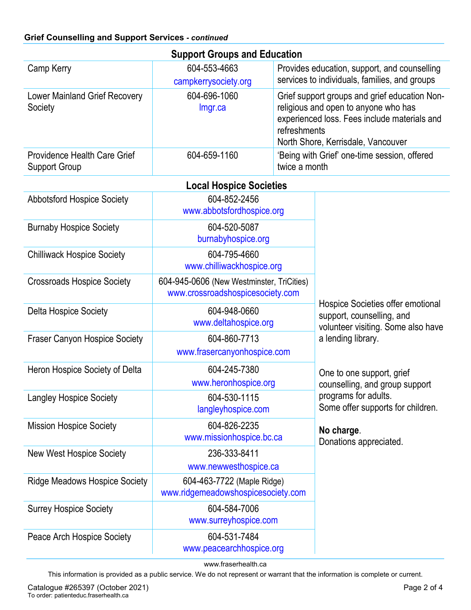| <b>Support Groups and Education</b>                         |                                                                               |                                                                                                                            |                                                                                                                                                                             |  |  |
|-------------------------------------------------------------|-------------------------------------------------------------------------------|----------------------------------------------------------------------------------------------------------------------------|-----------------------------------------------------------------------------------------------------------------------------------------------------------------------------|--|--|
| Camp Kerry                                                  | 604-553-4663<br>campkerrysociety.org                                          |                                                                                                                            | Provides education, support, and counselling<br>services to individuals, families, and groups                                                                               |  |  |
| <b>Lower Mainland Grief Recovery</b><br>Society             | 604-696-1060<br>Imgr.ca                                                       | refreshments                                                                                                               | Grief support groups and grief education Non-<br>religious and open to anyone who has<br>experienced loss. Fees include materials and<br>North Shore, Kerrisdale, Vancouver |  |  |
| <b>Providence Health Care Grief</b><br><b>Support Group</b> | 604-659-1160                                                                  | twice a month                                                                                                              | 'Being with Grief' one-time session, offered                                                                                                                                |  |  |
|                                                             | <b>Local Hospice Societies</b>                                                |                                                                                                                            |                                                                                                                                                                             |  |  |
| <b>Abbotsford Hospice Society</b>                           | 604-852-2456<br>www.abbotsfordhospice.org                                     |                                                                                                                            |                                                                                                                                                                             |  |  |
| <b>Burnaby Hospice Society</b>                              | 604-520-5087<br>burnabyhospice.org                                            |                                                                                                                            |                                                                                                                                                                             |  |  |
| <b>Chilliwack Hospice Society</b>                           | 604-795-4660<br>www.chilliwackhospice.org                                     |                                                                                                                            |                                                                                                                                                                             |  |  |
| <b>Crossroads Hospice Society</b>                           | 604-945-0606 (New Westminster, TriCities)<br>www.crossroadshospicesociety.com | Hospice Societies offer emotional<br>support, counselling, and<br>volunteer visiting. Some also have<br>a lending library. |                                                                                                                                                                             |  |  |
| <b>Delta Hospice Society</b>                                | 604-948-0660<br>www.deltahospice.org                                          |                                                                                                                            |                                                                                                                                                                             |  |  |
| <b>Fraser Canyon Hospice Society</b>                        | 604-860-7713<br>www.frasercanyonhospice.com                                   |                                                                                                                            |                                                                                                                                                                             |  |  |
| Heron Hospice Society of Delta                              | 604-245-7380<br>www.heronhospice.org                                          |                                                                                                                            | One to one support, grief<br>counselling, and group support                                                                                                                 |  |  |
| <b>Langley Hospice Society</b>                              | 604-530-1115<br>langleyhospice.com                                            |                                                                                                                            | programs for adults.<br>Some offer supports for children.                                                                                                                   |  |  |
| <b>Mission Hospice Society</b>                              | 604-826-2235<br>www.missionhospice.bc.ca                                      |                                                                                                                            | No charge.<br>Donations appreciated.                                                                                                                                        |  |  |
| <b>New West Hospice Society</b>                             | 236-333-8411<br>www.newwesthospice.ca                                         |                                                                                                                            |                                                                                                                                                                             |  |  |
| <b>Ridge Meadows Hospice Society</b>                        | 604-463-7722 (Maple Ridge)<br>www.ridgemeadowshospicesociety.com              |                                                                                                                            |                                                                                                                                                                             |  |  |
| <b>Surrey Hospice Society</b>                               | 604-584-7006<br>www.surreyhospice.com                                         |                                                                                                                            |                                                                                                                                                                             |  |  |
| Peace Arch Hospice Society                                  | 604-531-7484<br>www.peacearchhospice.org                                      |                                                                                                                            |                                                                                                                                                                             |  |  |

www.fraserhealth.ca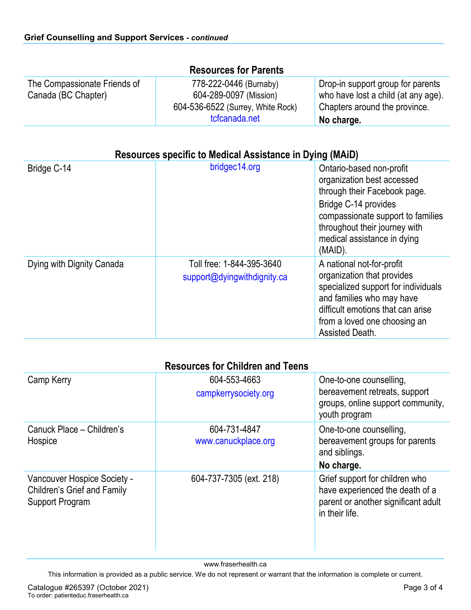| <b>Resources for Parents</b>                        |                                                                                                        |                                                                                                                         |  |  |  |
|-----------------------------------------------------|--------------------------------------------------------------------------------------------------------|-------------------------------------------------------------------------------------------------------------------------|--|--|--|
| The Compassionate Friends of<br>Canada (BC Chapter) | 778-222-0446 (Burnaby)<br>604-289-0097 (Mission)<br>604-536-6522 (Surrey, White Rock)<br>tcfcanada.net | Drop-in support group for parents<br>who have lost a child (at any age).<br>Chapters around the province.<br>No charge. |  |  |  |

## **Resources specific to Medical Assistance in Dying (MAiD)**

| Bridge C-14               | bridgec14.org                                            | Ontario-based non-profit<br>organization best accessed<br>through their Facebook page.<br>Bridge C-14 provides<br>compassionate support to families<br>throughout their journey with<br>medical assistance in dying<br>(MAID). |
|---------------------------|----------------------------------------------------------|--------------------------------------------------------------------------------------------------------------------------------------------------------------------------------------------------------------------------------|
| Dying with Dignity Canada | Toll free: 1-844-395-3640<br>support@dyingwithdignity.ca | A national not-for-profit<br>organization that provides<br>specialized support for individuals<br>and families who may have<br>difficult emotions that can arise<br>from a loved one choosing an<br>Assisted Death.            |

| <b>Resources for Children and Teens</b>                                              |                                      |                                                                                                                            |  |
|--------------------------------------------------------------------------------------|--------------------------------------|----------------------------------------------------------------------------------------------------------------------------|--|
| Camp Kerry                                                                           | 604-553-4663<br>campkerrysociety.org | One-to-one counselling,<br>bereavement retreats, support<br>groups, online support community,<br>youth program             |  |
| Canuck Place - Children's<br>Hospice                                                 | 604-731-4847<br>www.canuckplace.org  | One-to-one counselling,<br>bereavement groups for parents<br>and siblings.<br>No charge.                                   |  |
| Vancouver Hospice Society -<br><b>Children's Grief and Family</b><br>Support Program | 604-737-7305 (ext. 218)              | Grief support for children who<br>have experienced the death of a<br>parent or another significant adult<br>in their life. |  |

www.fraserhealth.ca